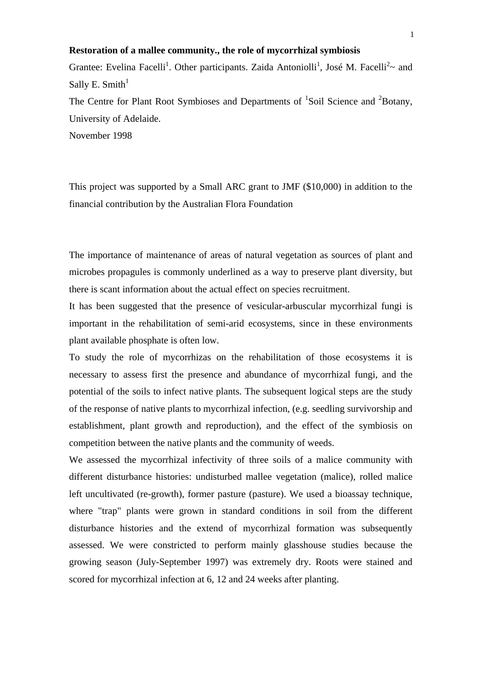## **Restoration of a mallee community., the role of mycorrhizal symbiosis**

Grantee: Evelina Facelli<sup>1</sup>. Other participants. Zaida Antoniolli<sup>1</sup>, José M. Facelli<sup>2</sup> $\sim$  and Sally E. Smith $1$ 

The Centre for Plant Root Symbioses and Departments of  ${}^{1}$ Soil Science and  ${}^{2}$ Botany, University of Adelaide.

November 1998

This project was supported by a Small ARC grant to JMF (\$10,000) in addition to the financial contribution by the Australian Flora Foundation

The importance of maintenance of areas of natural vegetation as sources of plant and microbes propagules is commonly underlined as a way to preserve plant diversity, but there is scant information about the actual effect on species recruitment.

It has been suggested that the presence of vesicular-arbuscular mycorrhizal fungi is important in the rehabilitation of semi-arid ecosystems, since in these environments plant available phosphate is often low.

To study the role of mycorrhizas on the rehabilitation of those ecosystems it is necessary to assess first the presence and abundance of mycorrhizal fungi, and the potential of the soils to infect native plants. The subsequent logical steps are the study of the response of native plants to mycorrhizal infection, (e.g. seedling survivorship and establishment, plant growth and reproduction), and the effect of the symbiosis on competition between the native plants and the community of weeds.

We assessed the mycorrhizal infectivity of three soils of a malice community with different disturbance histories: undisturbed mallee vegetation (malice), rolled malice left uncultivated (re-growth), former pasture (pasture). We used a bioassay technique, where "trap" plants were grown in standard conditions in soil from the different disturbance histories and the extend of mycorrhizal formation was subsequently assessed. We were constricted to perform mainly glasshouse studies because the growing season (July-September 1997) was extremely dry. Roots were stained and scored for mycorrhizal infection at 6, 12 and 24 weeks after planting.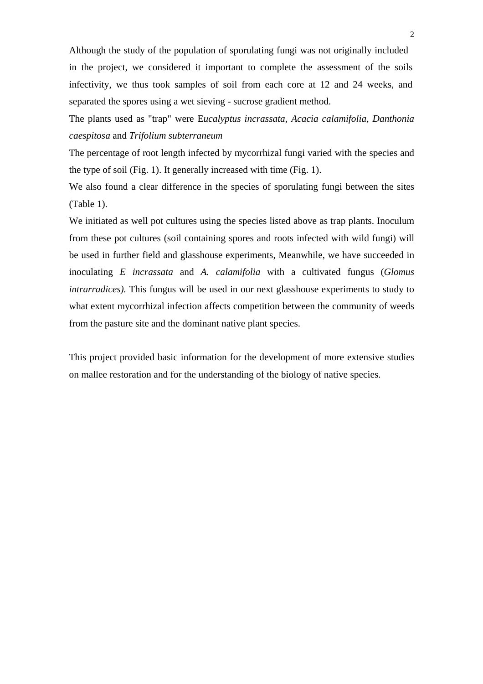Although the study of the population of sporulating fungi was not originally included in the project, we considered it important to complete the assessment of the soils infectivity, we thus took samples of soil from each core at 12 and 24 weeks, and separated the spores using a wet sieving - sucrose gradient method.

The plants used as "trap" were E*ucalyptus incrassata, Acacia calamifolia, Danthonia caespitosa* and *Trifolium subterraneum* 

The percentage of root length infected by mycorrhizal fungi varied with the species and the type of soil (Fig. 1). It generally increased with time (Fig. 1).

We also found a clear difference in the species of sporulating fungi between the sites (Table 1).

We initiated as well pot cultures using the species listed above as trap plants. Inoculum from these pot cultures (soil containing spores and roots infected with wild fungi) will be used in further field and glasshouse experiments, Meanwhile, we have succeeded in inoculating *E incrassata* and *A. calamifolia* with a cultivated fungus (*Glomus intrarradices).* This fungus will be used in our next glasshouse experiments to study to what extent mycorrhizal infection affects competition between the community of weeds from the pasture site and the dominant native plant species.

This project provided basic information for the development of more extensive studies on mallee restoration and for the understanding of the biology of native species.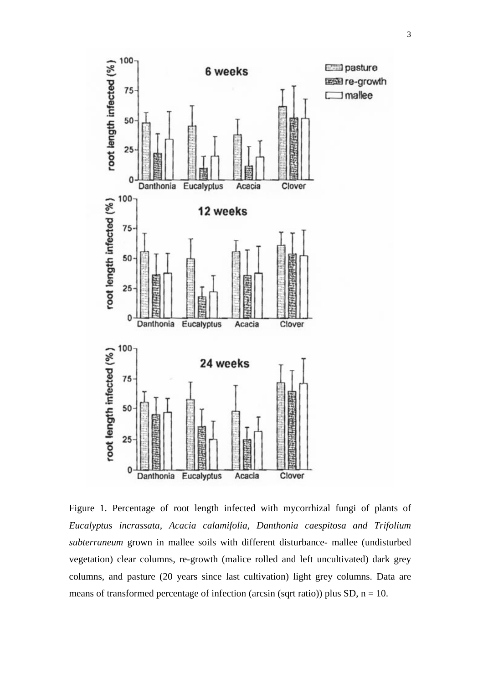

Figure 1. Percentage of root length infected with mycorrhizal fungi of plants of *Eucalyptus incrassata, Acacia calamifolia, Danthonia caespitosa and Trifolium subterraneum* grown in mallee soils with different disturbance- mallee (undisturbed vegetation) clear columns, re-growth (malice rolled and left uncultivated) dark grey columns, and pasture (20 years since last cultivation) light grey columns. Data are means of transformed percentage of infection (arcsin (sqrt ratio)) plus SD,  $n = 10$ .